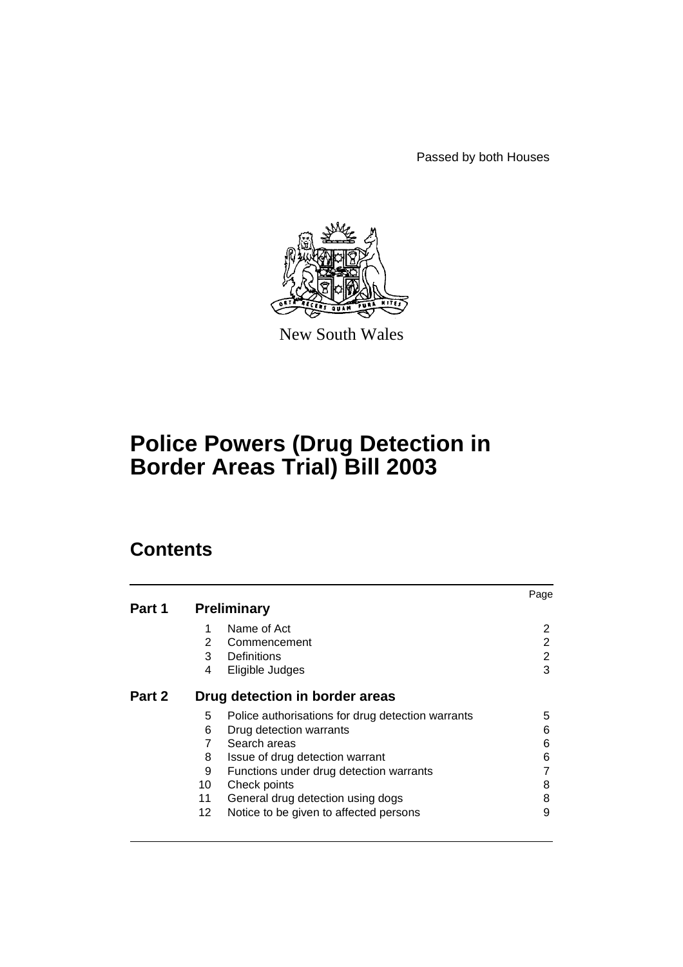Passed by both Houses



New South Wales

# **Police Powers (Drug Detection in Border Areas Trial) Bill 2003**

# **Contents**

|        |                                |                                                   | Page           |
|--------|--------------------------------|---------------------------------------------------|----------------|
| Part 1 |                                | <b>Preliminary</b>                                |                |
|        | 1                              | Name of Act                                       | 2              |
|        | $\overline{2}$                 | Commencement                                      | 2              |
|        | 3                              | Definitions                                       | $\overline{2}$ |
|        | 4                              | Eligible Judges                                   | 3              |
| Part 2 | Drug detection in border areas |                                                   |                |
|        | 5                              | Police authorisations for drug detection warrants | 5              |
|        | 6                              | Drug detection warrants                           | 6              |
|        | 7                              | Search areas                                      | 6              |
|        | 8                              | Issue of drug detection warrant                   | 6              |
|        | 9                              | Functions under drug detection warrants           |                |
|        | 10                             | Check points                                      | 8              |
|        | 11                             | General drug detection using dogs                 | 8              |
|        | 12                             | Notice to be given to affected persons            | 9              |
|        |                                |                                                   |                |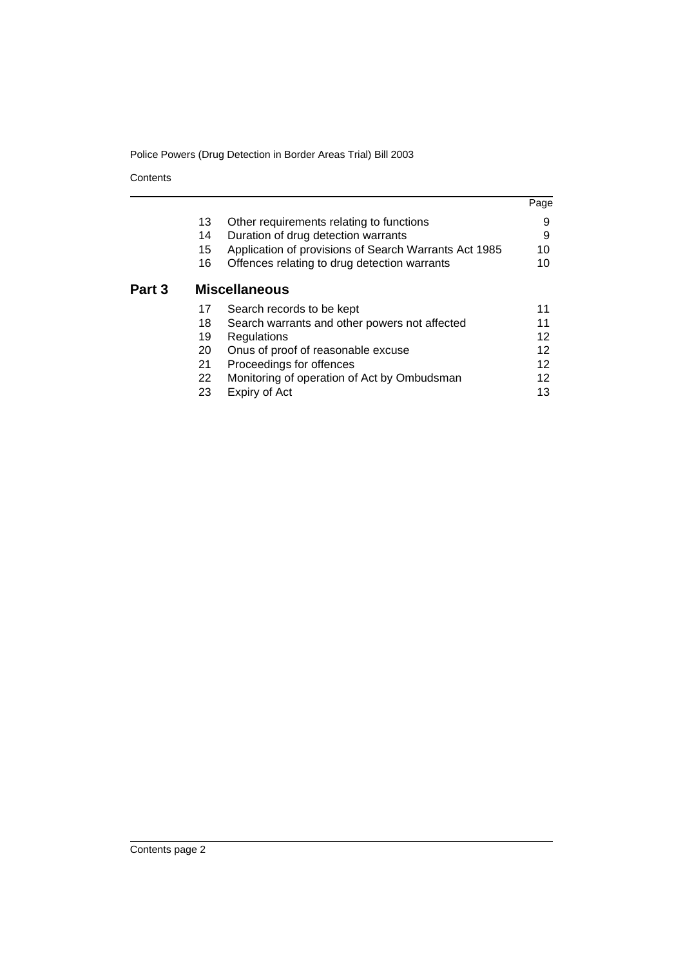**Contents** 

Part 3

|    |                                                       | Page |
|----|-------------------------------------------------------|------|
| 13 | Other requirements relating to functions              | 9    |
| 14 | Duration of drug detection warrants                   | 9    |
| 15 | Application of provisions of Search Warrants Act 1985 | 10   |
| 16 | Offences relating to drug detection warrants          | 10   |
|    | <b>Miscellaneous</b>                                  |      |
| 17 | Search records to be kept                             | 11   |
| 18 | Search warrants and other powers not affected         | 11   |
| 19 | Regulations                                           | 12   |
| 20 | Onus of proof of reasonable excuse                    | 12   |
| 21 | Proceedings for offences                              | 12   |
| 22 | Monitoring of operation of Act by Ombudsman           | 12   |
| 23 | Expiry of Act                                         | 13   |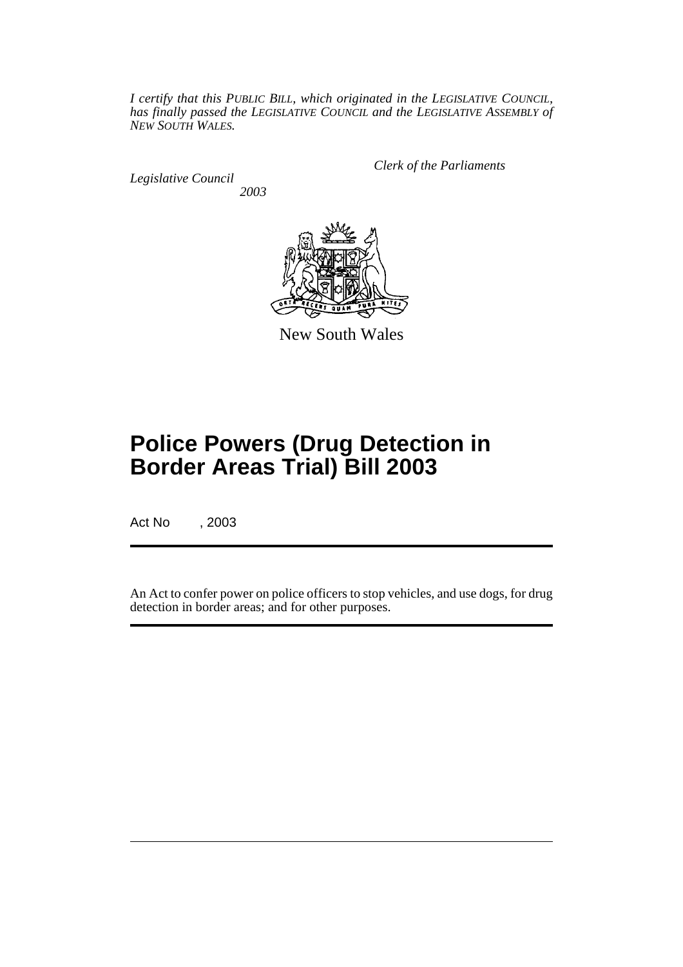*I certify that this PUBLIC BILL, which originated in the LEGISLATIVE COUNCIL, has finally passed the LEGISLATIVE COUNCIL and the LEGISLATIVE ASSEMBLY of NEW SOUTH WALES.*

*Legislative Council 2003* *Clerk of the Parliaments*



New South Wales

# **Police Powers (Drug Detection in Border Areas Trial) Bill 2003**

Act No , 2003

An Act to confer power on police officers to stop vehicles, and use dogs, for drug detection in border areas; and for other purposes.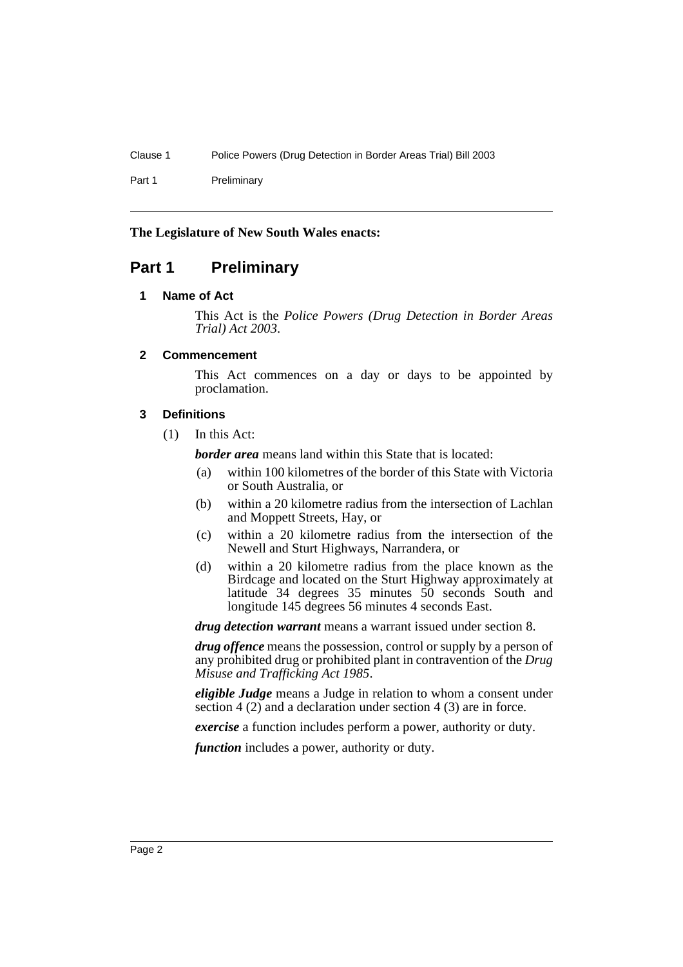Part 1 Preliminary

# **The Legislature of New South Wales enacts:**

# <span id="page-3-1"></span><span id="page-3-0"></span>**Part 1 Preliminary**

# **1 Name of Act**

This Act is the *Police Powers (Drug Detection in Border Areas Trial) Act 2003*.

# <span id="page-3-2"></span>**2 Commencement**

This Act commences on a day or days to be appointed by proclamation.

# <span id="page-3-3"></span>**3 Definitions**

(1) In this Act:

*border area* means land within this State that is located:

- (a) within 100 kilometres of the border of this State with Victoria or South Australia, or
- (b) within a 20 kilometre radius from the intersection of Lachlan and Moppett Streets, Hay, or
- (c) within a 20 kilometre radius from the intersection of the Newell and Sturt Highways, Narrandera, or
- (d) within a 20 kilometre radius from the place known as the Birdcage and located on the Sturt Highway approximately at latitude 34 degrees 35 minutes 50 seconds South and longitude 145 degrees 56 minutes 4 seconds East.

*drug detection warrant* means a warrant issued under section 8.

*drug offence* means the possession, control or supply by a person of any prohibited drug or prohibited plant in contravention of the *Drug Misuse and Trafficking Act 1985*.

*eligible Judge* means a Judge in relation to whom a consent under section 4 (2) and a declaration under section 4 (3) are in force.

*exercise* a function includes perform a power, authority or duty.

*function* includes a power, authority or duty.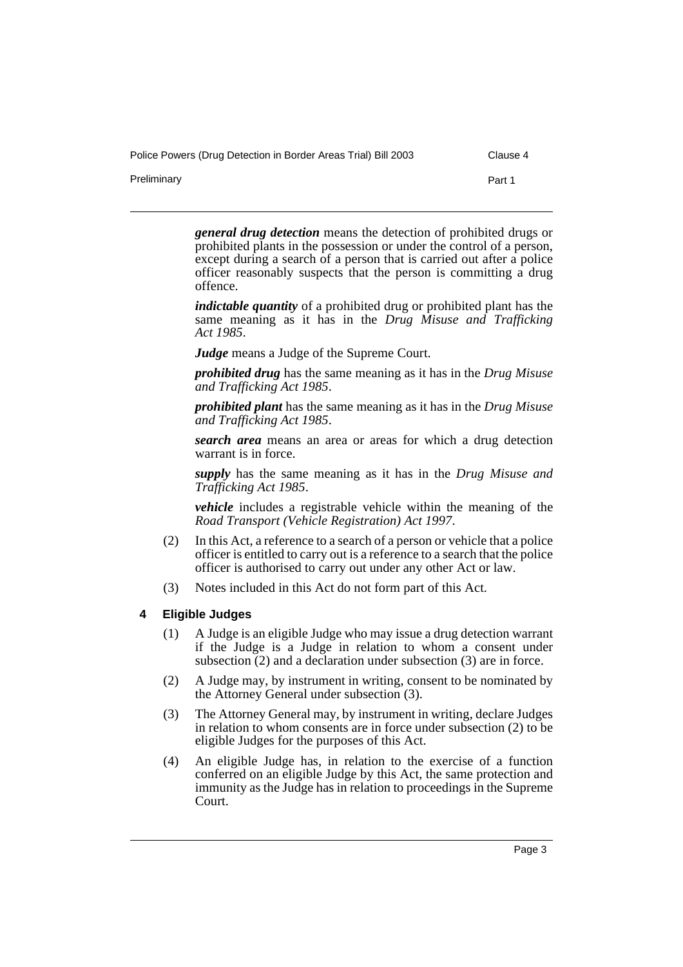Preliminary **Preliminary** Part 1

*general drug detection* means the detection of prohibited drugs or prohibited plants in the possession or under the control of a person, except during a search of a person that is carried out after a police officer reasonably suspects that the person is committing a drug offence.

*indictable quantity* of a prohibited drug or prohibited plant has the same meaning as it has in the *Drug Misuse and Trafficking Act 1985*.

*Judge* means a Judge of the Supreme Court.

*prohibited drug* has the same meaning as it has in the *Drug Misuse and Trafficking Act 1985*.

*prohibited plant* has the same meaning as it has in the *Drug Misuse and Trafficking Act 1985*.

*search area* means an area or areas for which a drug detection warrant is in force.

*supply* has the same meaning as it has in the *Drug Misuse and Trafficking Act 1985*.

*vehicle* includes a registrable vehicle within the meaning of the *Road Transport (Vehicle Registration) Act 1997*.

- (2) In this Act, a reference to a search of a person or vehicle that a police officer is entitled to carry out is a reference to a search that the police officer is authorised to carry out under any other Act or law.
- (3) Notes included in this Act do not form part of this Act.

# <span id="page-4-0"></span>**4 Eligible Judges**

- (1) A Judge is an eligible Judge who may issue a drug detection warrant if the Judge is a Judge in relation to whom a consent under subsection (2) and a declaration under subsection (3) are in force.
- (2) A Judge may, by instrument in writing, consent to be nominated by the Attorney General under subsection (3).
- (3) The Attorney General may, by instrument in writing, declare Judges in relation to whom consents are in force under subsection (2) to be eligible Judges for the purposes of this Act.
- (4) An eligible Judge has, in relation to the exercise of a function conferred on an eligible Judge by this Act, the same protection and immunity as the Judge has in relation to proceedings in the Supreme Court.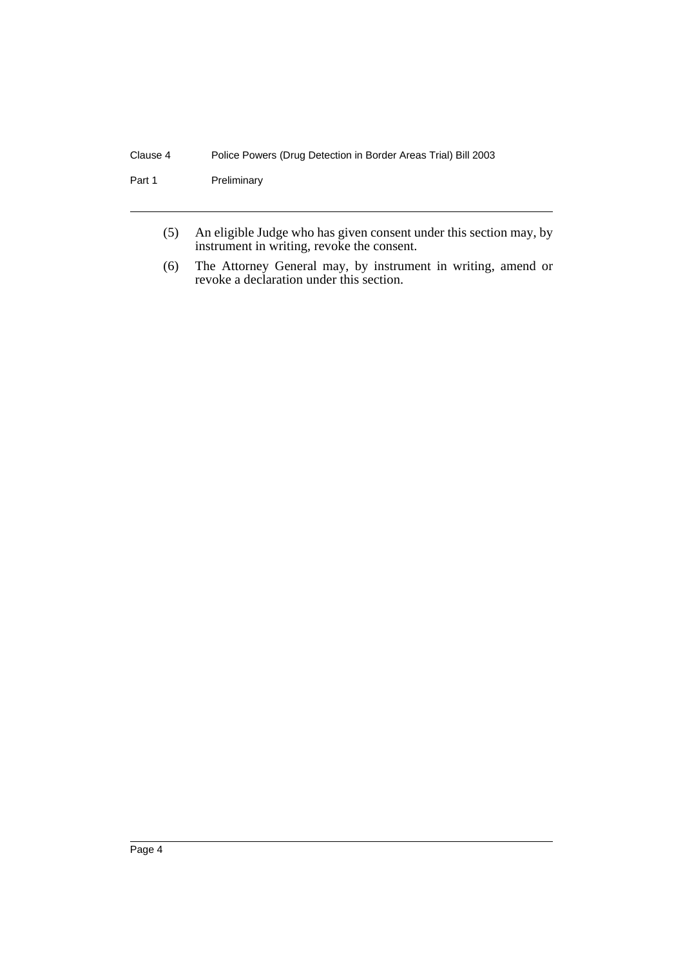# Clause 4 Police Powers (Drug Detection in Border Areas Trial) Bill 2003

Part 1 Preliminary

- (5) An eligible Judge who has given consent under this section may, by instrument in writing, revoke the consent.
- (6) The Attorney General may, by instrument in writing, amend or revoke a declaration under this section.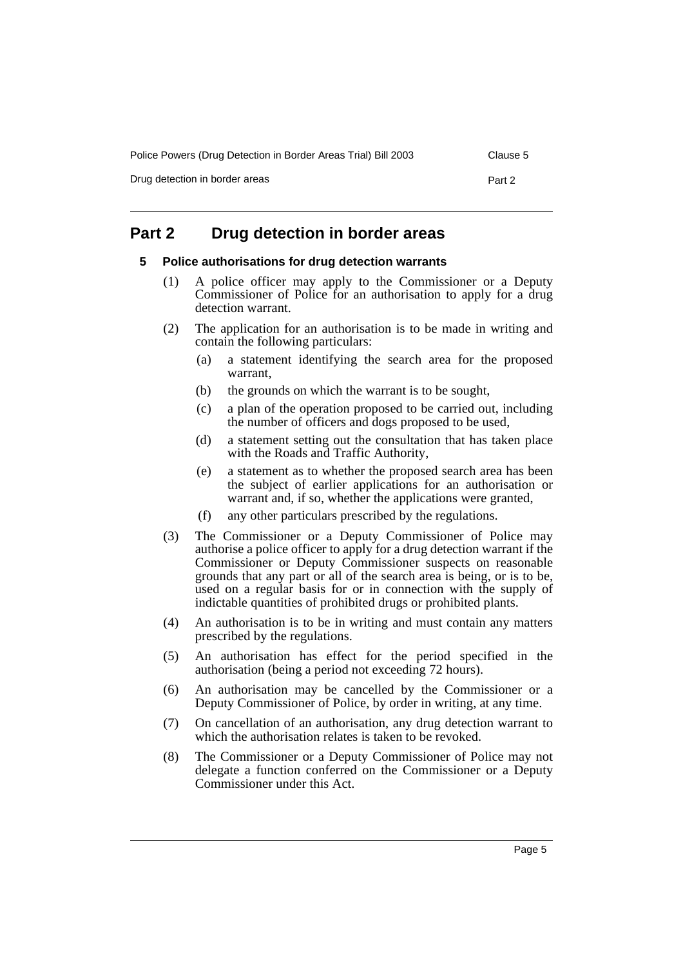Drug detection in border areas **Part 2** 

# <span id="page-6-1"></span><span id="page-6-0"></span>**Part 2 Drug detection in border areas**

#### **5 Police authorisations for drug detection warrants**

- (1) A police officer may apply to the Commissioner or a Deputy Commissioner of Police for an authorisation to apply for a drug detection warrant.
- (2) The application for an authorisation is to be made in writing and contain the following particulars:
	- (a) a statement identifying the search area for the proposed warrant,
	- (b) the grounds on which the warrant is to be sought,
	- (c) a plan of the operation proposed to be carried out, including the number of officers and dogs proposed to be used,
	- (d) a statement setting out the consultation that has taken place with the Roads and Traffic Authority,
	- (e) a statement as to whether the proposed search area has been the subject of earlier applications for an authorisation or warrant and, if so, whether the applications were granted,
	- (f) any other particulars prescribed by the regulations.
- (3) The Commissioner or a Deputy Commissioner of Police may authorise a police officer to apply for a drug detection warrant if the Commissioner or Deputy Commissioner suspects on reasonable grounds that any part or all of the search area is being, or is to be, used on a regular basis for or in connection with the supply of indictable quantities of prohibited drugs or prohibited plants.
- (4) An authorisation is to be in writing and must contain any matters prescribed by the regulations.
- (5) An authorisation has effect for the period specified in the authorisation (being a period not exceeding 72 hours).
- (6) An authorisation may be cancelled by the Commissioner or a Deputy Commissioner of Police, by order in writing, at any time.
- (7) On cancellation of an authorisation, any drug detection warrant to which the authorisation relates is taken to be revoked.
- (8) The Commissioner or a Deputy Commissioner of Police may not delegate a function conferred on the Commissioner or a Deputy Commissioner under this Act.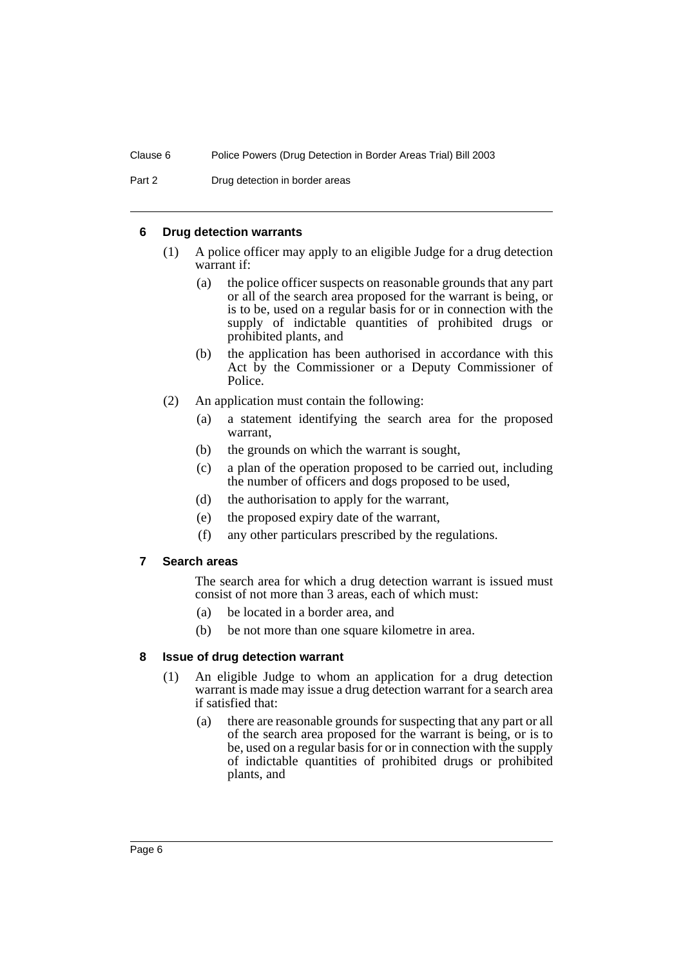# <span id="page-7-0"></span>**6 Drug detection warrants**

- (1) A police officer may apply to an eligible Judge for a drug detection warrant if:
	- (a) the police officer suspects on reasonable grounds that any part or all of the search area proposed for the warrant is being, or is to be, used on a regular basis for or in connection with the supply of indictable quantities of prohibited drugs or prohibited plants, and
	- (b) the application has been authorised in accordance with this Act by the Commissioner or a Deputy Commissioner of Police.
- (2) An application must contain the following:
	- (a) a statement identifying the search area for the proposed warrant,
	- (b) the grounds on which the warrant is sought,
	- (c) a plan of the operation proposed to be carried out, including the number of officers and dogs proposed to be used,
	- (d) the authorisation to apply for the warrant,
	- (e) the proposed expiry date of the warrant,
	- (f) any other particulars prescribed by the regulations.

# <span id="page-7-1"></span>**7 Search areas**

The search area for which a drug detection warrant is issued must consist of not more than 3 areas, each of which must:

- (a) be located in a border area, and
- (b) be not more than one square kilometre in area.

# <span id="page-7-2"></span>**8 Issue of drug detection warrant**

- (1) An eligible Judge to whom an application for a drug detection warrant is made may issue a drug detection warrant for a search area if satisfied that:
	- (a) there are reasonable grounds for suspecting that any part or all of the search area proposed for the warrant is being, or is to be, used on a regular basis for or in connection with the supply of indictable quantities of prohibited drugs or prohibited plants, and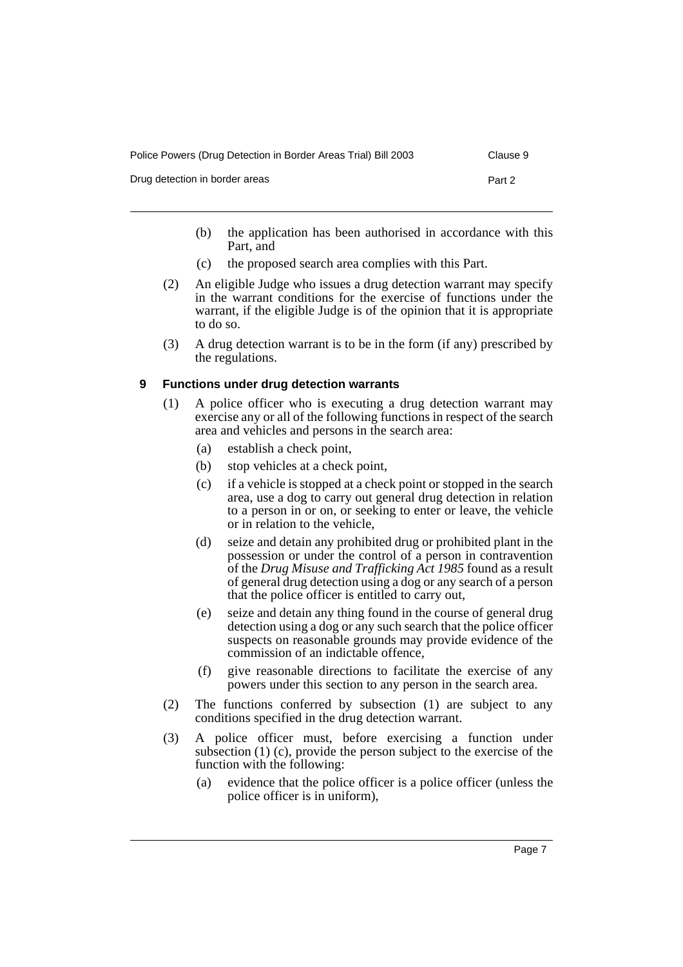| Police Powers (Drug Detection in Border Areas Trial) Bill 2003 |        |  |  |  |
|----------------------------------------------------------------|--------|--|--|--|
| Drug detection in border areas                                 | Part 2 |  |  |  |

- (b) the application has been authorised in accordance with this Part, and
- (c) the proposed search area complies with this Part.
- (2) An eligible Judge who issues a drug detection warrant may specify in the warrant conditions for the exercise of functions under the warrant, if the eligible Judge is of the opinion that it is appropriate to do so.
- (3) A drug detection warrant is to be in the form (if any) prescribed by the regulations.

# <span id="page-8-0"></span>**9 Functions under drug detection warrants**

- (1) A police officer who is executing a drug detection warrant may exercise any or all of the following functions in respect of the search area and vehicles and persons in the search area:
	- (a) establish a check point,
	- (b) stop vehicles at a check point,
	- (c) if a vehicle is stopped at a check point or stopped in the search area, use a dog to carry out general drug detection in relation to a person in or on, or seeking to enter or leave, the vehicle or in relation to the vehicle,
	- (d) seize and detain any prohibited drug or prohibited plant in the possession or under the control of a person in contravention of the *Drug Misuse and Trafficking Act 1985* found as a result of general drug detection using a dog or any search of a person that the police officer is entitled to carry out,
	- (e) seize and detain any thing found in the course of general drug detection using a dog or any such search that the police officer suspects on reasonable grounds may provide evidence of the commission of an indictable offence,
	- (f) give reasonable directions to facilitate the exercise of any powers under this section to any person in the search area.
- (2) The functions conferred by subsection (1) are subject to any conditions specified in the drug detection warrant.
- (3) A police officer must, before exercising a function under subsection (1) (c), provide the person subject to the exercise of the function with the following:
	- (a) evidence that the police officer is a police officer (unless the police officer is in uniform),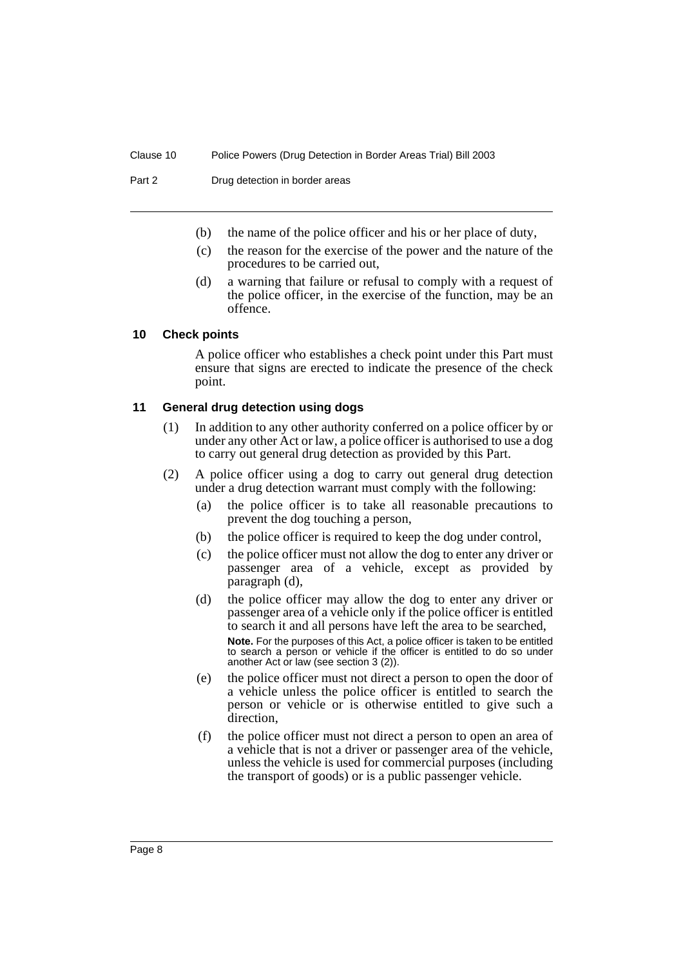- (b) the name of the police officer and his or her place of duty,
- (c) the reason for the exercise of the power and the nature of the procedures to be carried out,
- (d) a warning that failure or refusal to comply with a request of the police officer, in the exercise of the function, may be an offence.

#### <span id="page-9-0"></span>**10 Check points**

A police officer who establishes a check point under this Part must ensure that signs are erected to indicate the presence of the check point.

#### <span id="page-9-1"></span>**11 General drug detection using dogs**

- (1) In addition to any other authority conferred on a police officer by or under any other Act or law, a police officer is authorised to use a dog to carry out general drug detection as provided by this Part.
- (2) A police officer using a dog to carry out general drug detection under a drug detection warrant must comply with the following:
	- (a) the police officer is to take all reasonable precautions to prevent the dog touching a person,
	- (b) the police officer is required to keep the dog under control,
	- (c) the police officer must not allow the dog to enter any driver or passenger area of a vehicle, except as provided by paragraph (d),
	- (d) the police officer may allow the dog to enter any driver or passenger area of a vehicle only if the police officer is entitled to search it and all persons have left the area to be searched, **Note.** For the purposes of this Act, a police officer is taken to be entitled to search a person or vehicle if the officer is entitled to do so under another Act or law (see section 3 (2)).
	- (e) the police officer must not direct a person to open the door of a vehicle unless the police officer is entitled to search the person or vehicle or is otherwise entitled to give such a direction,
	- (f) the police officer must not direct a person to open an area of a vehicle that is not a driver or passenger area of the vehicle, unless the vehicle is used for commercial purposes (including the transport of goods) or is a public passenger vehicle.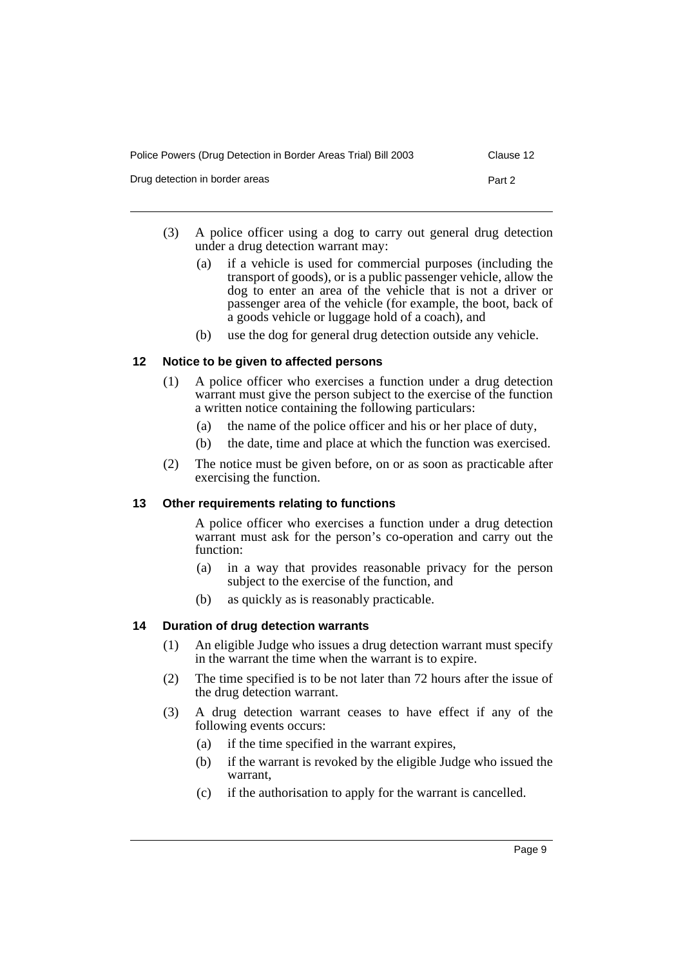| Police Powers (Drug Detection in Border Areas Trial) Bill 2003 | Clause 12 |
|----------------------------------------------------------------|-----------|
| Drug detection in border areas                                 | Part 2    |

- (3) A police officer using a dog to carry out general drug detection under a drug detection warrant may:
	- (a) if a vehicle is used for commercial purposes (including the transport of goods), or is a public passenger vehicle, allow the dog to enter an area of the vehicle that is not a driver or passenger area of the vehicle (for example, the boot, back of a goods vehicle or luggage hold of a coach), and
	- (b) use the dog for general drug detection outside any vehicle.

# <span id="page-10-0"></span>**12 Notice to be given to affected persons**

- (1) A police officer who exercises a function under a drug detection warrant must give the person subject to the exercise of the function a written notice containing the following particulars:
	- (a) the name of the police officer and his or her place of duty,
	- (b) the date, time and place at which the function was exercised.
- (2) The notice must be given before, on or as soon as practicable after exercising the function.

# <span id="page-10-1"></span>**13 Other requirements relating to functions**

A police officer who exercises a function under a drug detection warrant must ask for the person's co-operation and carry out the function:

- (a) in a way that provides reasonable privacy for the person subject to the exercise of the function, and
- (b) as quickly as is reasonably practicable.

# <span id="page-10-2"></span>**14 Duration of drug detection warrants**

- (1) An eligible Judge who issues a drug detection warrant must specify in the warrant the time when the warrant is to expire.
- (2) The time specified is to be not later than 72 hours after the issue of the drug detection warrant.
- (3) A drug detection warrant ceases to have effect if any of the following events occurs:
	- (a) if the time specified in the warrant expires,
	- (b) if the warrant is revoked by the eligible Judge who issued the warrant,
	- (c) if the authorisation to apply for the warrant is cancelled.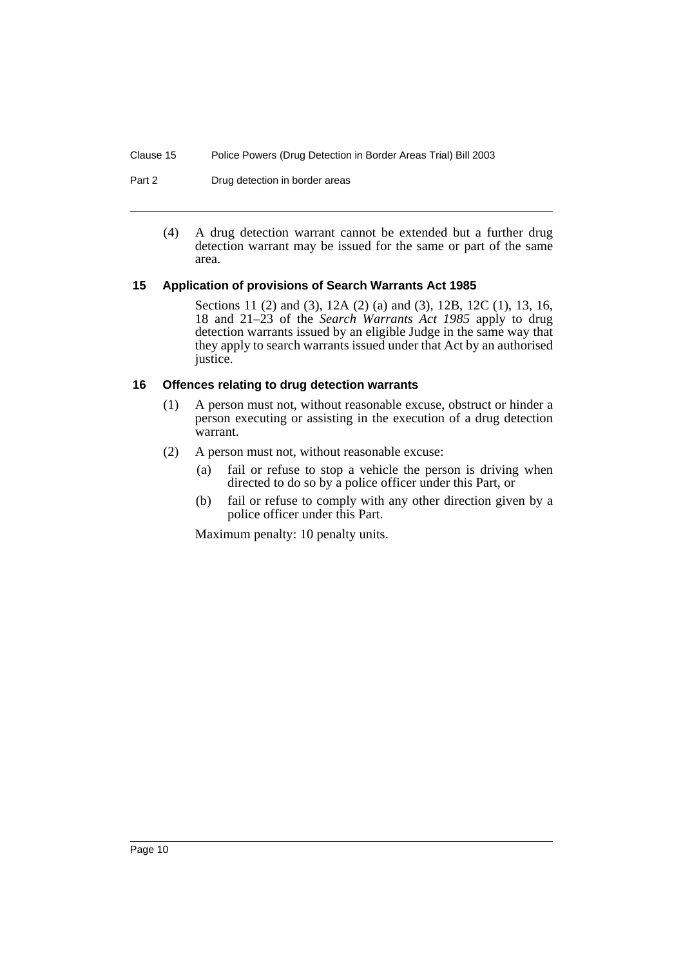Part 2 Drug detection in border areas

(4) A drug detection warrant cannot be extended but a further drug detection warrant may be issued for the same or part of the same area.

# <span id="page-11-0"></span>**15 Application of provisions of Search Warrants Act 1985**

Sections 11 (2) and (3), 12A (2) (a) and (3), 12B, 12C (1), 13, 16, 18 and 21–23 of the *Search Warrants Act 1985* apply to drug detection warrants issued by an eligible Judge in the same way that they apply to search warrants issued under that Act by an authorised justice.

# <span id="page-11-1"></span>**16 Offences relating to drug detection warrants**

- (1) A person must not, without reasonable excuse, obstruct or hinder a person executing or assisting in the execution of a drug detection warrant.
- (2) A person must not, without reasonable excuse:
	- (a) fail or refuse to stop a vehicle the person is driving when directed to do so by a police officer under this Part, or
	- (b) fail or refuse to comply with any other direction given by a police officer under this Part.

Maximum penalty: 10 penalty units.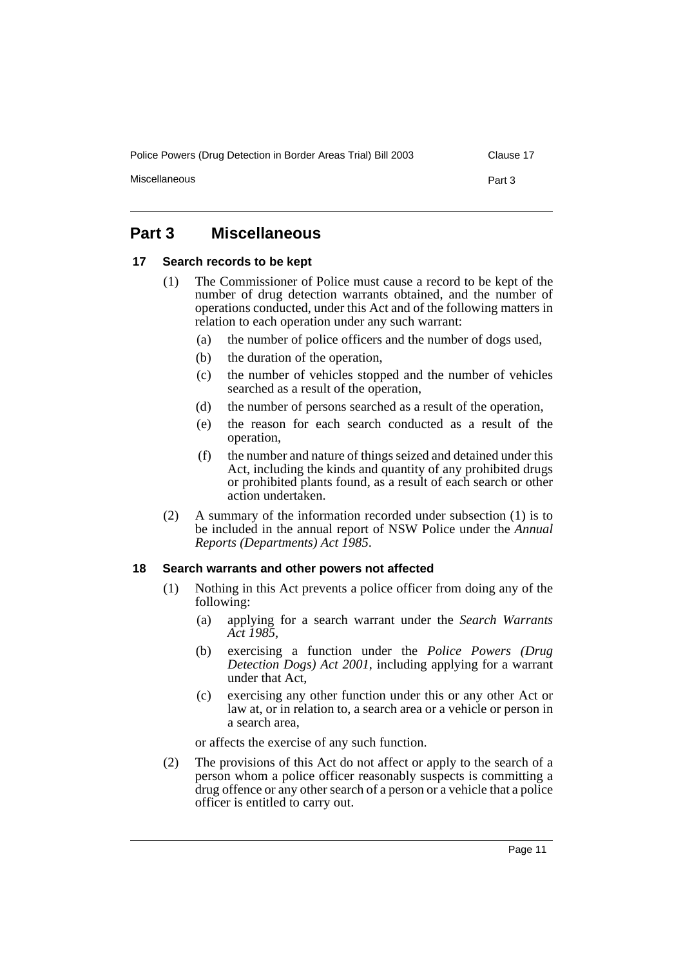Miscellaneous **Part 3** 

# <span id="page-12-0"></span>**Part 3 Miscellaneous**

#### <span id="page-12-1"></span>**17 Search records to be kept**

- (1) The Commissioner of Police must cause a record to be kept of the number of drug detection warrants obtained, and the number of operations conducted, under this Act and of the following matters in relation to each operation under any such warrant:
	- (a) the number of police officers and the number of dogs used,
	- (b) the duration of the operation,
	- (c) the number of vehicles stopped and the number of vehicles searched as a result of the operation,
	- (d) the number of persons searched as a result of the operation,
	- (e) the reason for each search conducted as a result of the operation,
	- (f) the number and nature of things seized and detained under this Act, including the kinds and quantity of any prohibited drugs or prohibited plants found, as a result of each search or other action undertaken.
- (2) A summary of the information recorded under subsection (1) is to be included in the annual report of NSW Police under the *Annual Reports (Departments) Act 1985*.

# <span id="page-12-2"></span>**18 Search warrants and other powers not affected**

- (1) Nothing in this Act prevents a police officer from doing any of the following:
	- (a) applying for a search warrant under the *Search Warrants Act 1985*,
	- (b) exercising a function under the *Police Powers (Drug Detection Dogs) Act 2001*, including applying for a warrant under that Act,
	- (c) exercising any other function under this or any other Act or law at, or in relation to, a search area or a vehicle or person in a search area,

or affects the exercise of any such function.

(2) The provisions of this Act do not affect or apply to the search of a person whom a police officer reasonably suspects is committing a drug offence or any other search of a person or a vehicle that a police officer is entitled to carry out.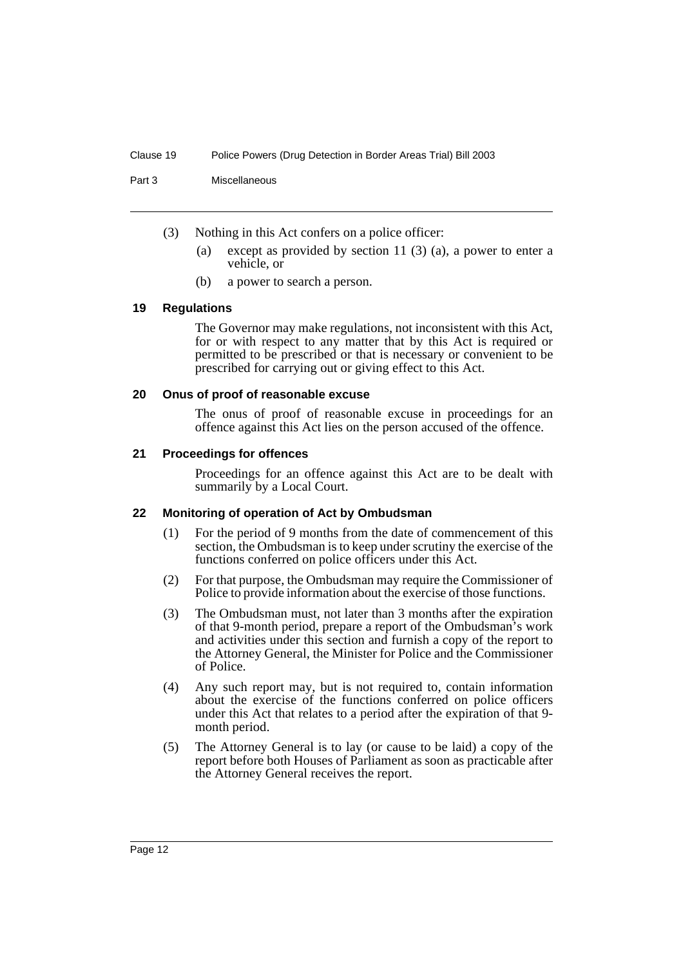Part 3 Miscellaneous

- (3) Nothing in this Act confers on a police officer:
	- (a) except as provided by section 11 (3) (a), a power to enter a vehicle, or
	- (b) a power to search a person.

#### <span id="page-13-0"></span>**19 Regulations**

The Governor may make regulations, not inconsistent with this Act, for or with respect to any matter that by this Act is required or permitted to be prescribed or that is necessary or convenient to be prescribed for carrying out or giving effect to this Act.

#### <span id="page-13-1"></span>**20 Onus of proof of reasonable excuse**

The onus of proof of reasonable excuse in proceedings for an offence against this Act lies on the person accused of the offence.

# <span id="page-13-2"></span>**21 Proceedings for offences**

Proceedings for an offence against this Act are to be dealt with summarily by a Local Court.

# <span id="page-13-3"></span>**22 Monitoring of operation of Act by Ombudsman**

- (1) For the period of 9 months from the date of commencement of this section, the Ombudsman is to keep under scrutiny the exercise of the functions conferred on police officers under this Act.
- (2) For that purpose, the Ombudsman may require the Commissioner of Police to provide information about the exercise of those functions.
- (3) The Ombudsman must, not later than 3 months after the expiration of that 9-month period, prepare a report of the Ombudsman's work and activities under this section and furnish a copy of the report to the Attorney General, the Minister for Police and the Commissioner of Police.
- (4) Any such report may, but is not required to, contain information about the exercise of the functions conferred on police officers under this Act that relates to a period after the expiration of that 9 month period.
- (5) The Attorney General is to lay (or cause to be laid) a copy of the report before both Houses of Parliament as soon as practicable after the Attorney General receives the report.